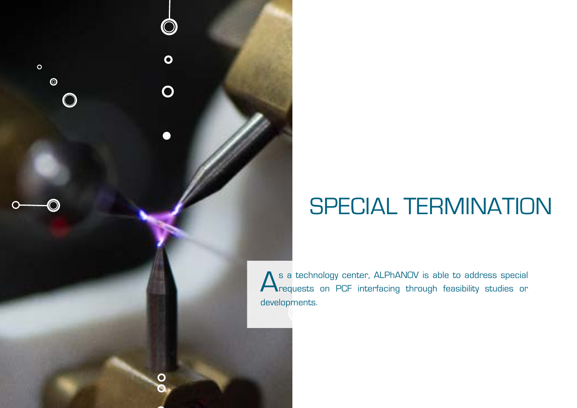## SPECIAL TERMINATION

As a technology center, ALPhANOV is able to address special<br>
requests on PCF interfacing through feasibility studies or developments.

 $\overline{\mathbf{o}}$ 

 $\overline{O}$ 

 $\circ$ 

 $\bullet$ 

 $\bigcirc$